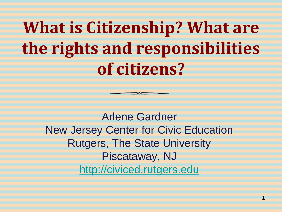**What is Citizenship? What are the rights and responsibilities of citizens?**

Arlene Gardner New Jersey Center for Civic Education Rutgers, The State University Piscataway, NJ [http://civiced.rutgers.edu](http://civiced.rutgers.edu/)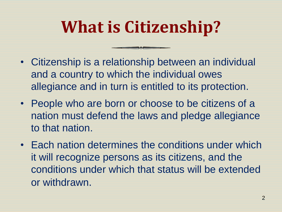# **What is Citizenship?**

- Citizenship is a relationship between an individual and a country to which the individual owes allegiance and in turn is entitled to its protection.
- People who are born or choose to be citizens of a nation must defend the laws and pledge allegiance to that nation.
- Each nation determines the conditions under which it will recognize persons as its citizens, and the conditions under which that status will be extended or withdrawn.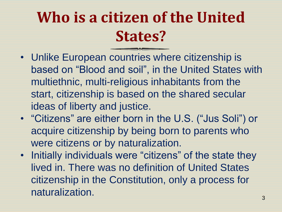### **Who is a citizen of the United States?**

- Unlike European countries where citizenship is based on "Blood and soil", in the United States with multiethnic, multi-religious inhabitants from the start, citizenship is based on the shared secular ideas of liberty and justice.
- "Citizens" are either born in the U.S. ("Jus Soli") or acquire citizenship by being born to parents who were citizens or by naturalization.
- Initially individuals were "citizens" of the state they lived in. There was no definition of United States citizenship in the Constitution, only a process for naturalization.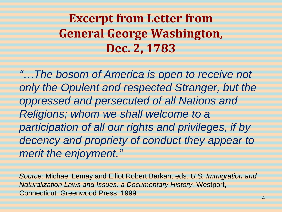#### **Excerpt from Letter from General George Washington, Dec. 2, 1783**

*"…The bosom of America is open to receive not only the Opulent and respected Stranger, but the oppressed and persecuted of all Nations and Religions; whom we shall welcome to a participation of all our rights and privileges, if by decency and propriety of conduct they appear to merit the enjoyment."*

*Source:* Michael Lemay and Elliot Robert Barkan, eds. *U.S. Immigration and Naturalization Laws and Issues: a Documentary History.* Westport, Connecticut: Greenwood Press, 1999.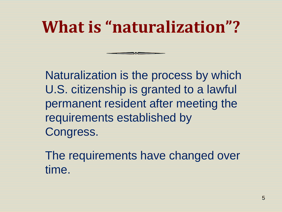## **What is "naturalization"?**

Naturalization is the process by which U.S. citizenship is granted to a lawful permanent resident after meeting the requirements established by Congress.

The requirements have changed over time.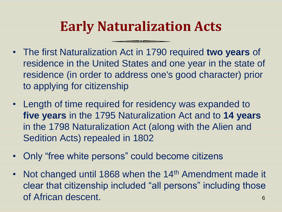#### **Early Naturalization Acts**

- The first Naturalization Act in 1790 required **two years** of residence in the United States and one year in the state of residence (in order to address one's good character) prior to applying for citizenship
- Length of time required for residency was expanded to **five years** in the 1795 Naturalization Act and to **14 years**  in the 1798 Naturalization Act (along with the Alien and Sedition Acts) repealed in 1802
- Only "free white persons" could become citizens
- Not changed until 1868 when the 14<sup>th</sup> Amendment made it clear that citizenship included "all persons" including those of African descent. 6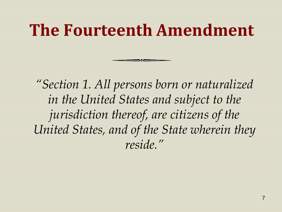### **The Fourteenth Amendment**

*"Section 1. All persons born or naturalized in the United States and subject to the jurisdiction thereof, are citizens of the United States, and of the State wherein they reside."*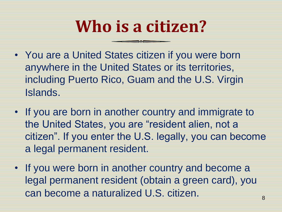## **Who is a citizen?**

- You are a United States citizen if you were born anywhere in the United States or its territories, including Puerto Rico, Guam and the U.S. Virgin Islands.
- If you are born in another country and immigrate to the United States, you are "resident alien, not a citizen". If you enter the U.S. legally, you can become a legal permanent resident.
- If you were born in another country and become a legal permanent resident (obtain a green card), you can become a naturalized U.S. citizen.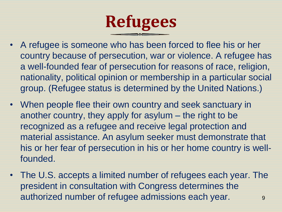

- A refugee is someone who has been forced to flee his or her country because of persecution, war or violence. A refugee has a well-founded fear of persecution for reasons of race, religion, nationality, political opinion or membership in a particular social group. (Refugee status is determined by the United Nations.)
- When people flee their own country and seek sanctuary in another country, they apply for asylum – the right to be recognized as a refugee and receive legal protection and material assistance. An asylum seeker must demonstrate that his or her fear of persecution in his or her home country is wellfounded.
- The U.S. accepts a limited number of refugees each year. The president in consultation with Congress determines the authorized number of refugee admissions each year. **9**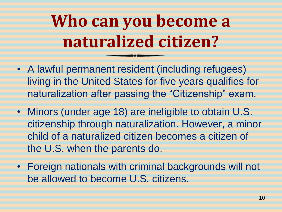# **Who can you become a naturalized citizen?**

- A lawful permanent resident (including refugees) living in the United States for five years qualifies for naturalization after passing the "Citizenship" exam.
- Minors (under age 18) are ineligible to obtain U.S. citizenship through naturalization. However, a minor child of a naturalized citizen becomes a citizen of the U.S. when the parents do.
- Foreign nationals with criminal backgrounds will not be allowed to become U.S. citizens.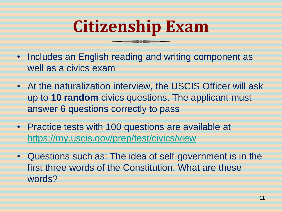## **Citizenship Exam**

- Includes an English reading and writing component as well as a civics exam
- At the naturalization interview, the USCIS Officer will ask up to **10 random** civics questions. The applicant must answer 6 questions correctly to pass
- Practice tests with 100 questions are available at <https://my.uscis.gov/prep/test/civics/view>
- Questions such as: The idea of self-government is in the first three words of the Constitution. What are these words?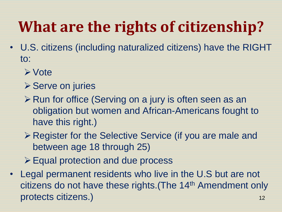## **What are the rights of citizenship?**

- U.S. citizens (including naturalized citizens) have the RIGHT to:
	- Vote
	- **≻ Serve on juries**
	- **≻ Run for office (Serving on a jury is often seen as an** obligation but women and African-Americans fought to have this right.)
	- **Example 3** Register for the Selective Service (if you are male and between age 18 through 25)
	- Equal protection and due process
- Legal permanent residents who live in the U.S but are not citizens do not have these rights. (The 14<sup>th</sup> Amendment only protects citizens.) and the set of the set of the set of the set of the set of the set of the set of the set o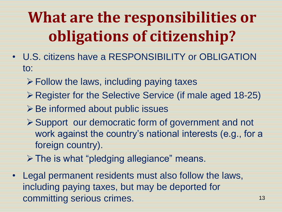## **What are the responsibilities or obligations of citizenship?**

- U.S. citizens have a RESPONSIBILITY or OBLIGATION to:
	- $\triangleright$  Follow the laws, including paying taxes
	- Register for the Selective Service (if male aged 18-25)
	- **≻Be informed about public issues**
	- ▶ Support our democratic form of government and not work against the country's national interests (e.g., for a foreign country).
	- > The is what "pledging allegiance" means.
- Legal permanent residents must also follow the laws, including paying taxes, but may be deported for committing serious crimes. 13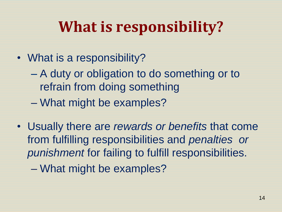### **What is responsibility?**

- What is a responsibility?
	- A duty or obligation to do something or to refrain from doing something
	- What might be examples?
- Usually there are *rewards or benefits* that come from fulfilling responsibilities and *penalties or punishment* for failing to fulfill responsibilities.
	- What might be examples?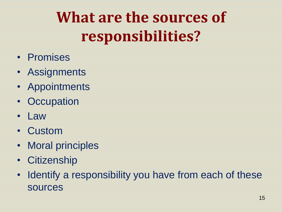## **What are the sources of responsibilities?**

- Promises
- Assignments
- Appointments
- Occupation
- Law
- Custom
- Moral principles
- Citizenship
- Identify a responsibility you have from each of these sources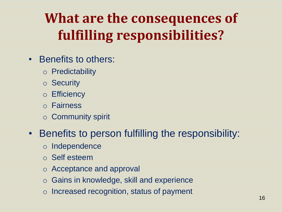### **What are the consequences of fulfilling responsibilities?**

- Benefits to others:
	- o Predictability
	- o Security
	- o Efficiency
	- o Fairness
	- o Community spirit
- Benefits to person fulfilling the responsibility:
	- o Independence
	- o Self esteem
	- o Acceptance and approval
	- o Gains in knowledge, skill and experience
	- o Increased recognition, status of payment